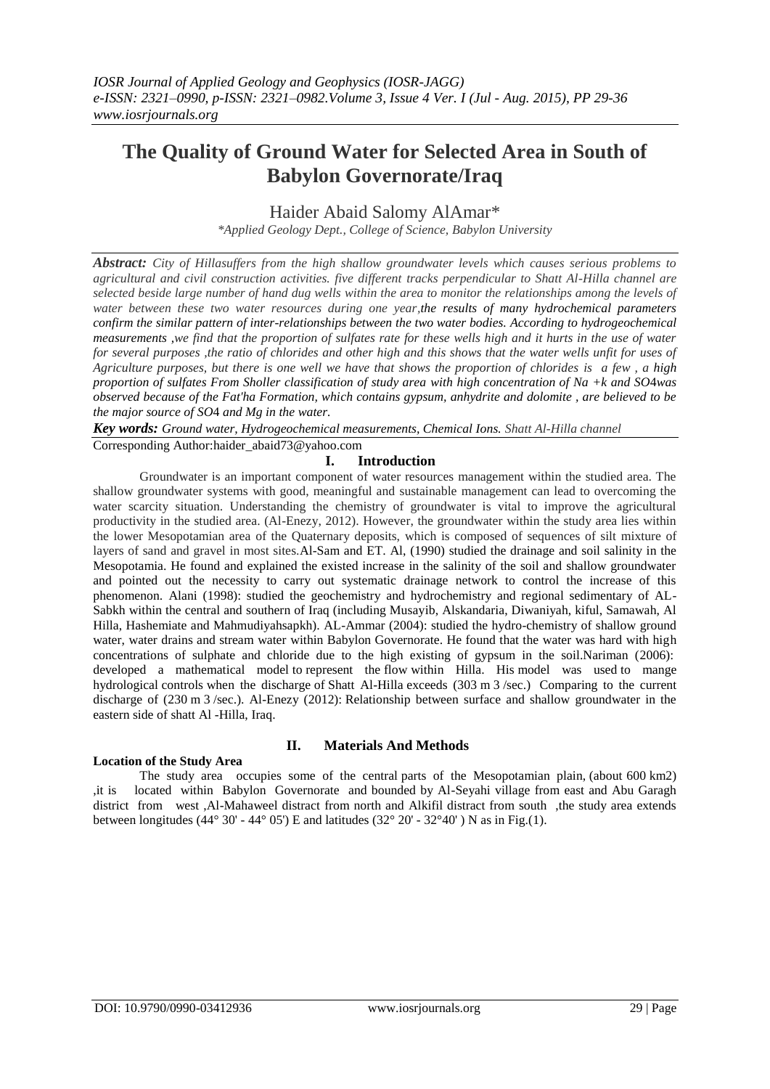# **The Quality of Ground Water for Selected Area in South of Babylon Governorate/Iraq**

Haider Abaid Salomy AlAmar\*

*\*Applied Geology Dept., College of Science, Babylon University*

*Abstract: City of Hillasuffers from the high shallow groundwater levels which causes serious problems to agricultural and civil construction activities. five different tracks perpendicular to Shatt Al-Hilla channel are selected beside large number of hand dug wells within the area to monitor the relationships among the levels of water between these two water resources during one year,the results of many hydrochemical parameters confirm the similar pattern of inter-relationships between the two water bodies. According to hydrogeochemical measurements ,we find that the proportion of sulfates rate for these wells high and it hurts in the use of water for several purposes , the ratio of chlorides and other high and this shows that the water wells unfit for uses of Agriculture purposes, but there is one well we have that shows the proportion of chlorides is a few , a high proportion of sulfates From Sholler classification of study area with high concentration of Na +k and SO*4*was observed because of the Fat'ha Formation, which contains gypsum, anhydrite and dolomite , are believed to be the major source of SO*4 *and Mg in the water.*

*Key words: Ground water, Hydrogeochemical measurements, Chemical Ions. Shatt Al-Hilla channel*

Corresponding Author:haider\_abaid73@yahoo.com

# **I. Introduction**

Groundwater is an important component of water resources management within the studied area. The shallow groundwater systems with good, meaningful and sustainable management can lead to overcoming the water scarcity situation. Understanding the chemistry of groundwater is vital to improve the agricultural productivity in the studied area. (Al-Enezy, 2012). However, the groundwater within the study area lies within the lower Mesopotamian area of the Quaternary deposits, which is composed of sequences of silt mixture of layers of sand and gravel in most sites.Al-Sam and ET. Al, (1990) studied the drainage and soil salinity in the Mesopotamia. He found and explained the existed increase in the salinity of the soil and shallow groundwater and pointed out the necessity to carry out systematic drainage network to control the increase of this phenomenon. Alani (1998): studied the geochemistry and hydrochemistry and regional sedimentary of AL-Sabkh within the central and southern of Iraq (including Musayib, Alskandaria, Diwaniyah, kiful, Samawah, Al Hilla, Hashemiate and Mahmudiyahsapkh). AL-Ammar (2004): studied the hydro-chemistry of shallow ground water, water drains and stream water within Babylon Governorate. He found that the water was hard with high concentrations of sulphate and chloride due to the high existing of gypsum in the soil.Nariman (2006): developed a mathematical model to represent the flow within Hilla. His model was used to mange hydrological controls when the discharge of Shatt Al-Hilla exceeds (303 m 3 /sec.) Comparing to the current discharge of (230 m 3/sec.). Al-Enezy (2012): Relationship between surface and shallow groundwater in the eastern side of shatt Al -Hilla, Iraq.

# **Location of the Study Area**

# **II. Materials And Methods**

The study area occupies some of the central parts of the Mesopotamian plain, (about 600 km2) ,it is located within Babylon Governorate and bounded by Al-Seyahi village from east and Abu Garagh district from west ,Al-Mahaweel distract from north and Alkifil distract from south ,the study area extends between longitudes (44° 30' - 44° 05') E and latitudes (32° 20' - 32° 40') N as in Fig.(1).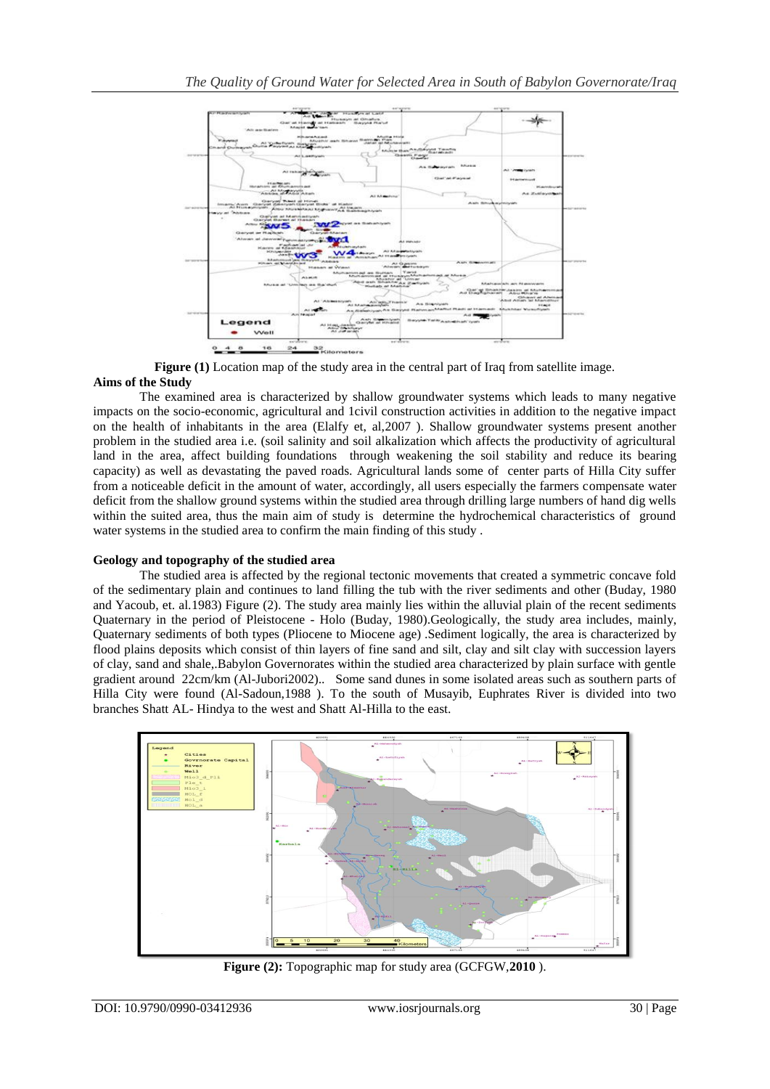

**Figure (1)** Location map of the study area in the central part of Iraq from satellite image. **Aims of the Study**

The examined area is characterized by shallow groundwater systems which leads to many negative impacts on the socio-economic, agricultural and 1civil construction activities in addition to the negative impact on the health of inhabitants in the area (Elalfy et, al,2007 ). Shallow groundwater systems present another problem in the studied area i.e. (soil salinity and soil alkalization which affects the productivity of agricultural land in the area, affect building foundations through weakening the soil stability and reduce its bearing capacity) as well as devastating the paved roads. Agricultural lands some of center parts of Hilla City suffer from a noticeable deficit in the amount of water, accordingly, all users especially the farmers compensate water deficit from the shallow ground systems within the studied area through drilling large numbers of hand dig wells within the suited area, thus the main aim of study is determine the hydrochemical characteristics of ground water systems in the studied area to confirm the main finding of this study .

## **Geology and topography of the studied area**

The studied area is affected by the regional tectonic movements that created a symmetric concave fold of the sedimentary plain and continues to land filling the tub with the river sediments and other (Buday, 1980 and Yacoub, et. al.1983) Figure (2). The study area mainly lies within the alluvial plain of the recent sediments Quaternary in the period of Pleistocene - Holo (Buday, 1980).Geologically, the study area includes, mainly, Quaternary sediments of both types (Pliocene to Miocene age) .Sediment logically, the area is characterized by flood plains deposits which consist of thin layers of fine sand and silt, clay and silt clay with succession layers of clay, sand and shale,.Babylon Governorates within the studied area characterized by plain surface with gentle gradient around 22cm/km (Al-Jubori2002).. Some sand dunes in some isolated areas such as southern parts of Hilla City were found (Al-Sadoun,1988 ). To the south of Musayib, Euphrates River is divided into two branches Shatt AL- Hindya to the west and Shatt Al-Hilla to the east.



**Figure (2):** Topographic map for study area (GCFGW,**2010** ).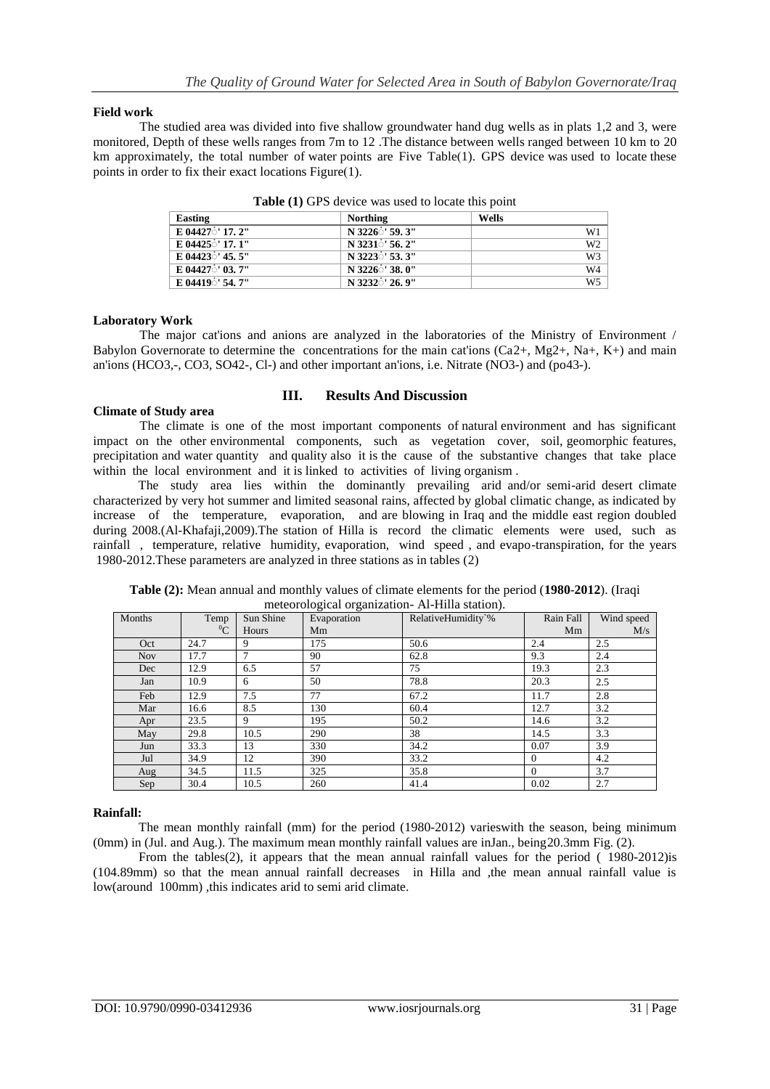## **Field work**

The studied area was divided into five shallow groundwater hand dug wells as in plats 1,2 and 3, were monitored, Depth of these wells ranges from 7m to 12 .The distance between wells ranged between 10 km to 20 km approximately, the total number of water points are Five Table(1). GPS device was used to locate these points in order to fix their exact locations Figure $(1)$ .

| Easting                       | <b>Northing</b>             | Wells          |
|-------------------------------|-----------------------------|----------------|
| E 04427 <sup>1</sup> 7. 2"    | N 3226 59.3"                | W1             |
| E 04425 $\circ$ ' 17.1"       | N 3231 56.2"                | W <sub>2</sub> |
| E 04423 $\dot{\circ}$ ' 45.5" | N 3223 <sup>3</sup> ' 53.3" | W3             |
| E 04427 <sup>'</sup> 03. 7"   | N 3226 <sup>5</sup> ' 38.0" | W4             |
| E 04419 $\frac{1}{2}$ 54.7"   | N 3232 26.9"                | W5             |

**Table (1)** GPS device was used to locate this point

## **Laboratory Work**

The major cations and anions are analyzed in the laboratories of the Ministry of Environment / Babylon Governorate to determine the concentrations for the main cat'ions  $(Ca2+, Mg2+, Na+, K+)$  and main an'ions (HCO3,-, CO3, SO42-, Cl-) and other important an'ions, i.e. Nitrate (NO3-) and (po43-).

## **Climate of Study area**

## **III. Results And Discussion**

The climate is one of the most important components of natural environment and has significant impact on the other environmental components, such as vegetation cover, soil, geomorphic features, precipitation and water quantity and quality also it is the cause of the substantive changes that take place within the local environment and it is linked to activities of living organism.

The study area lies within the dominantly prevailing arid and/or semi-arid desert climate characterized by very hot summer and limited seasonal rains, affected by global climatic change, as indicated by increase of the temperature, evaporation, and are blowing in Iraq and the middle east region doubled during 2008.(Al-Khafaji,2009).The station of Hilla is record the climatic elements were used, such as rainfall , temperature, relative humidity, evaporation, wind speed , and evapo-transpiration, for the years 1980-2012.These parameters are analyzed in three stations as in tables (2)

| Months     | Temp    | Sun Shine | - - - - - - - - - -<br>Evaporation | RelativeHumidity`% | Rain Fall | Wind speed |
|------------|---------|-----------|------------------------------------|--------------------|-----------|------------|
|            | $^{0}C$ | Hours     | Mm                                 |                    | Mm        | M/s        |
| Oct        | 24.7    | 9         | 175                                | 50.6               | 2.4       | 2.5        |
| <b>Nov</b> | 17.7    | 7         | 90                                 | 62.8               | 9.3       | 2.4        |
| Dec        | 12.9    | 6.5       | 57                                 | 75                 | 19.3      | 2.3        |
| Jan        | 10.9    | 6         | 50                                 | 78.8               | 20.3      | 2.5        |
| Feb        | 12.9    | 7.5       | 77                                 | 67.2               | 11.7      | 2.8        |
| Mar        | 16.6    | 8.5       | 130                                | 60.4               | 12.7      | 3.2        |
| Apr        | 23.5    | 9         | 195                                | 50.2               | 14.6      | 3.2        |
| May        | 29.8    | 10.5      | 290                                | 38                 | 14.5      | 3.3        |
| Jun        | 33.3    | 13        | 330                                | 34.2               | 0.07      | 3.9        |
| Jul        | 34.9    | 12        | 390                                | 33.2               | $\Omega$  | 4.2        |
| Aug        | 34.5    | 11.5      | 325                                | 35.8               | $\theta$  | 3.7        |
| Sep        | 30.4    | 10.5      | 260                                | 41.4               | 0.02      | 2.7        |

**Table (2):** Mean annual and monthly values of climate elements for the period (**1980**-**2012**). (Iraqi meteorological organization- Al-Hilla station).

## **Rainfall:**

The mean monthly rainfall (mm) for the period (1980-2012) varieswith the season, being minimum (0mm) in (Jul. and Aug.). The maximum mean monthly rainfall values are inJan., being20.3mm Fig. (2).

From the tables(2), it appears that the mean annual rainfall values for the period ( 1980-2012)is (104.89mm) so that the mean annual rainfall decreases in Hilla and ,the mean annual rainfall value is low(around 100mm) ,this indicates arid to semi arid climate.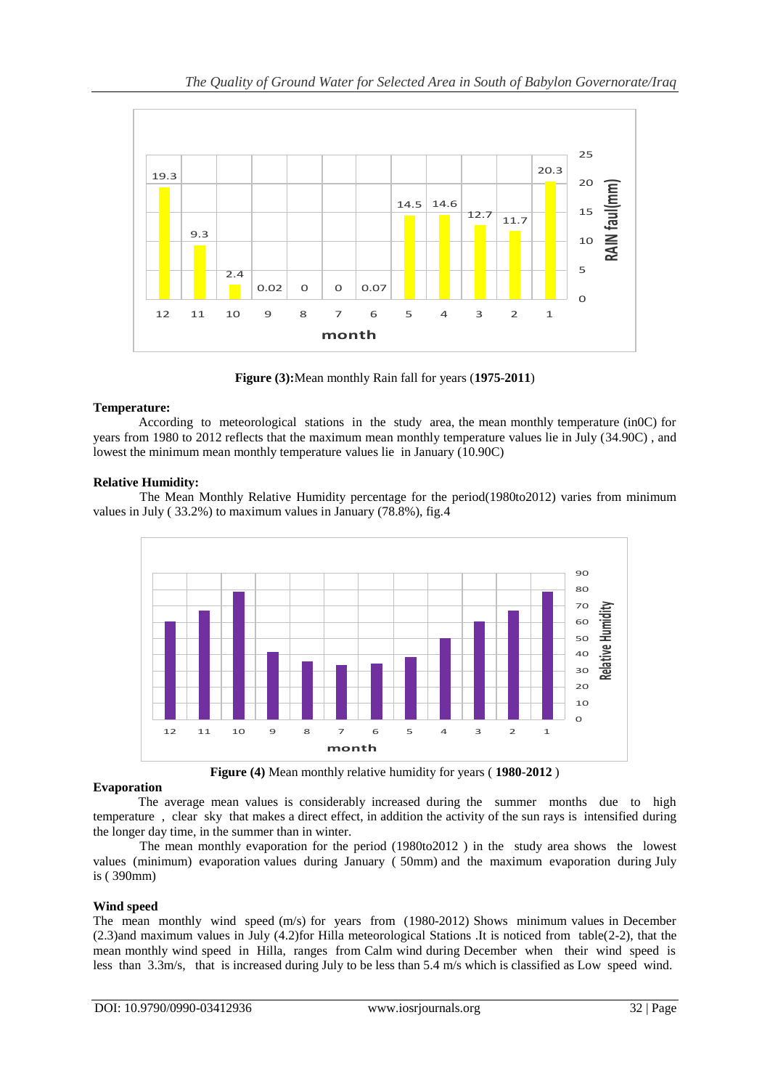

**Figure (3):**Mean monthly Rain fall for years (**1975**-**2011**)

# **Temperature:**

According to meteorological stations in the study area, the mean monthly temperature (in0C) for years from 1980 to 2012 reflects that the maximum mean monthly temperature values lie in July (34.90C) , and lowest the minimum mean monthly temperature values lie in January (10.90C)

# **Relative Humidity:**

The Mean Monthly Relative Humidity percentage for the period(1980to2012) varies from minimum values in July ( 33.2%) to maximum values in January (78.8%), fig.4



**Figure (4)** Mean monthly relative humidity for years ( **1980**-**2012** )

## **Evaporation**

The average mean values is considerably increased during the summer months due to high temperature , clear sky that makes a direct effect, in addition the activity of the sun rays is intensified during the longer day time, in the summer than in winter.

The mean monthly evaporation for the period (1980to2012 ) in the study area shows the lowest values (minimum) evaporation values during January ( 50mm) and the maximum evaporation during July is ( 390mm)

# **Wind speed**

The mean monthly wind speed (m/s) for years from (1980-2012) Shows minimum values in December (2.3)and maximum values in July (4.2)for Hilla meteorological Stations .It is noticed from table(2-2), that the mean monthly wind speed in Hilla, ranges from Calm wind during December when their wind speed is less than 3.3m/s, that is increased during July to be less than 5.4 m/s which is classified as Low speed wind.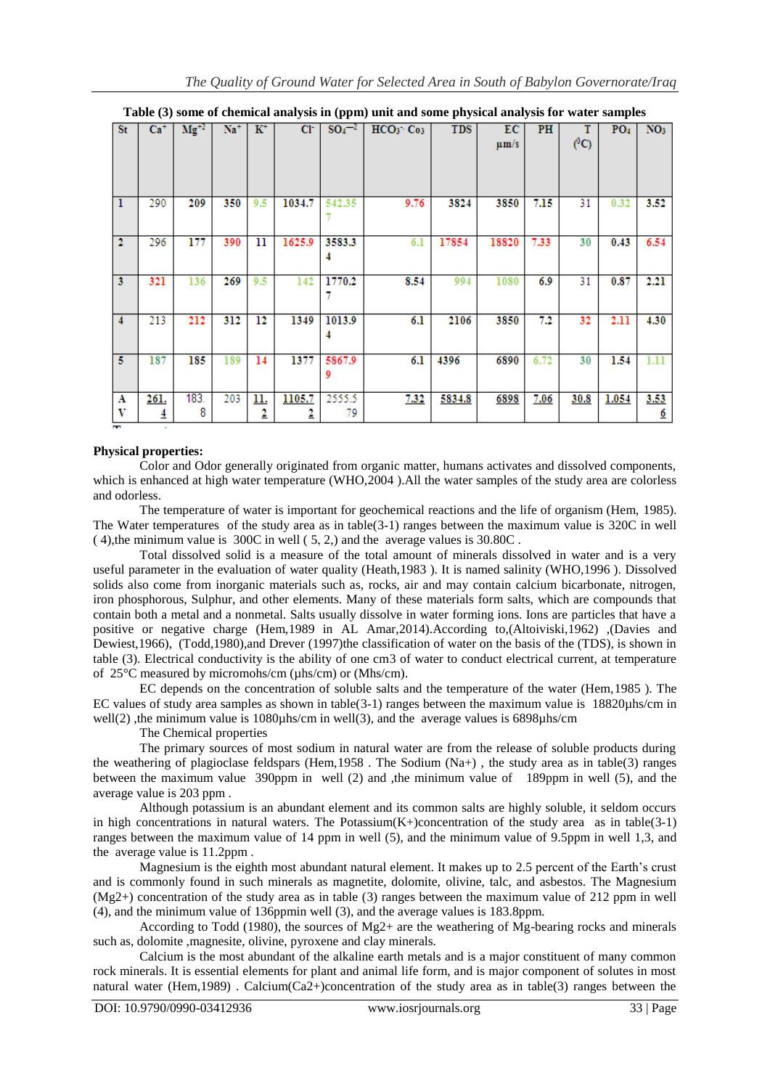|                |                |               |       |                |        |        | enemeur unurjon, m (ppm) univ unu some prijsieur unurjon, ror wuter sumpres |            |           |               |         |                 |                 |
|----------------|----------------|---------------|-------|----------------|--------|--------|-----------------------------------------------------------------------------|------------|-----------|---------------|---------|-----------------|-----------------|
| St.            | $Ca+$          | $\rm Mg^{+2}$ | $Na+$ | $\mathbf{K}^+$ | C1     |        | $SO_4^{-2}$ HCO <sub>3</sub> C <sub>03</sub>                                | <b>TDS</b> | EC.       | PH            | т       | PO <sub>4</sub> | NO <sub>3</sub> |
|                |                |               |       |                |        |        |                                                                             |            |           |               | $(^0C)$ |                 |                 |
|                |                |               |       |                |        |        |                                                                             |            | $\mu$ m/s |               |         |                 |                 |
|                |                |               |       |                |        |        |                                                                             |            |           |               |         |                 |                 |
|                |                |               |       |                |        |        |                                                                             |            |           |               |         |                 |                 |
|                |                |               |       |                |        |        |                                                                             |            |           |               |         |                 |                 |
|                |                |               |       |                |        |        |                                                                             |            |           |               |         |                 |                 |
|                |                |               |       |                |        |        |                                                                             |            |           |               |         |                 |                 |
| 1              | 290            | 209           | 350   | 9.5            | 1034.7 | 542.35 | 9.76                                                                        | 3824       | 3850      | 7.15          | 31      | 0.32            | 3.52            |
|                |                |               |       |                |        |        |                                                                             |            |           |               |         |                 |                 |
|                |                |               |       |                |        |        |                                                                             |            |           |               |         |                 |                 |
|                |                |               |       |                |        |        |                                                                             |            |           |               |         |                 |                 |
| $\mathbf{2}$   | 296            | 177           | 390   | 11             | 1625.9 | 3583.3 | 6.1                                                                         | 17854      | 18820     | 7.33          | 30      | 0.43            | 6.54            |
|                |                |               |       |                |        |        |                                                                             |            |           |               |         |                 |                 |
|                |                |               |       |                |        |        |                                                                             |            |           |               |         |                 |                 |
|                |                |               |       |                |        |        |                                                                             |            |           |               |         |                 |                 |
| 3              | 321            | 136           | 269   | 9.5            | 142    | 1770.2 | 8.54                                                                        | 994        | 1080      | 6.9           | 31      | 0.87            | 2.21            |
|                |                |               |       |                |        |        |                                                                             |            |           |               |         |                 |                 |
|                |                |               |       |                |        |        |                                                                             |            |           |               |         |                 |                 |
|                |                |               |       |                |        |        |                                                                             |            |           |               |         |                 |                 |
|                |                |               |       |                |        |        |                                                                             |            |           |               |         |                 |                 |
| $\overline{4}$ | 213            | 212           | 312   | 12             | 1349   | 1013.9 | 6.1                                                                         | 2106       | 3850      | $7.2^{\circ}$ | 32      | 2.11            | 4.30            |
|                |                |               |       |                |        |        |                                                                             |            |           |               |         |                 |                 |
|                |                |               |       |                |        |        |                                                                             |            |           |               |         |                 |                 |
|                |                |               |       |                |        |        |                                                                             |            |           |               |         |                 |                 |
| 5              | 187            | 185           | 189   | 14             | 1377   | 5867.9 | 6.1                                                                         | 4396       | 6890      | 6.72          | 30      | 1.54            | 1.11            |
|                |                |               |       |                |        | 9      |                                                                             |            |           |               |         |                 |                 |
|                |                |               |       |                |        |        |                                                                             |            |           |               |         |                 |                 |
|                |                |               |       |                |        |        |                                                                             |            |           |               |         |                 |                 |
| Α              | 261.           | 183.          | 203   | <u>11.</u>     | 1105.7 | 2555.5 | 7.32                                                                        | 5834.8     | 6898      | 7.06          | 30.8    | 1.054           | 3.53            |
| v              |                | 8             |       |                |        | 79     |                                                                             |            |           |               |         |                 |                 |
|                | $\overline{4}$ |               |       | 2              | 2      |        |                                                                             |            |           |               |         |                 | <u>6</u>        |
| . .            |                |               |       |                |        |        |                                                                             |            |           |               |         |                 |                 |

**Table (3) some of chemical analysis in (ppm) unit and some physical analysis for water samples**

## **Physical properties:**

Color and Odor generally originated from organic matter, humans activates and dissolved components, which is enhanced at high water temperature (WHO,2004).All the water samples of the study area are colorless and odorless.

The temperature of water is important for geochemical reactions and the life of organism (Hem, 1985). The Water temperatures of the study area as in table(3-1) ranges between the maximum value is 320C in well ( 4),the minimum value is 300C in well ( 5, 2,) and the average values is 30.80C .

Total dissolved solid is a measure of the total amount of minerals dissolved in water and is a very useful parameter in the evaluation of water quality (Heath,1983 ). It is named salinity (WHO,1996 ). Dissolved solids also come from inorganic materials such as, rocks, air and may contain calcium bicarbonate, nitrogen, iron phosphorous, Sulphur, and other elements. Many of these materials form salts, which are compounds that contain both a metal and a nonmetal. Salts usually dissolve in water forming ions. Ions are particles that have a positive or negative charge (Hem,1989 in AL Amar,2014).According to,(Altoiviski,1962) ,(Davies and Dewiest,1966), (Todd,1980),and Drever (1997)the classification of water on the basis of the (TDS), is shown in table (3). Electrical conductivity is the ability of one cm3 of water to conduct electrical current, at temperature of 25°C measured by micromohs/cm (µhs/cm) or (Mhs/cm).

EC depends on the concentration of soluble salts and the temperature of the water (Hem,1985 ). The EC values of study area samples as shown in table( $3-1$ ) ranges between the maximum value is 18820 $\mu$ hs/cm in well(2) , the minimum value is 1080uhs/cm in well(3), and the average values is 6898uhs/cm

The Chemical properties

The primary sources of most sodium in natural water are from the release of soluble products during the weathering of plagioclase feldspars (Hem,1958 . The Sodium (Na+) , the study area as in table(3) ranges between the maximum value 390ppm in well (2) and ,the minimum value of 189ppm in well (5), and the average value is 203 ppm .

Although potassium is an abundant element and its common salts are highly soluble, it seldom occurs in high concentrations in natural waters. The Potassium(K+)concentration of the study area as in table(3-1) ranges between the maximum value of 14 ppm in well (5), and the minimum value of 9.5ppm in well 1,3, and the average value is 11.2ppm .

Magnesium is the eighth most abundant natural element. It makes up to 2.5 percent of the Earth's crust and is commonly found in such minerals as magnetite, dolomite, olivine, talc, and asbestos. The Magnesium (Mg2+) concentration of the study area as in table (3) ranges between the maximum value of 212 ppm in well (4), and the minimum value of 136ppmin well (3), and the average values is 183.8ppm.

According to Todd (1980), the sources of  $Mg2+$  are the weathering of  $Mg$ -bearing rocks and minerals such as, dolomite ,magnesite, olivine, pyroxene and clay minerals.

Calcium is the most abundant of the alkaline earth metals and is a major constituent of many common rock minerals. It is essential elements for plant and animal life form, and is major component of solutes in most natural water (Hem,1989). Calcium(Ca2+)concentration of the study area as in table(3) ranges between the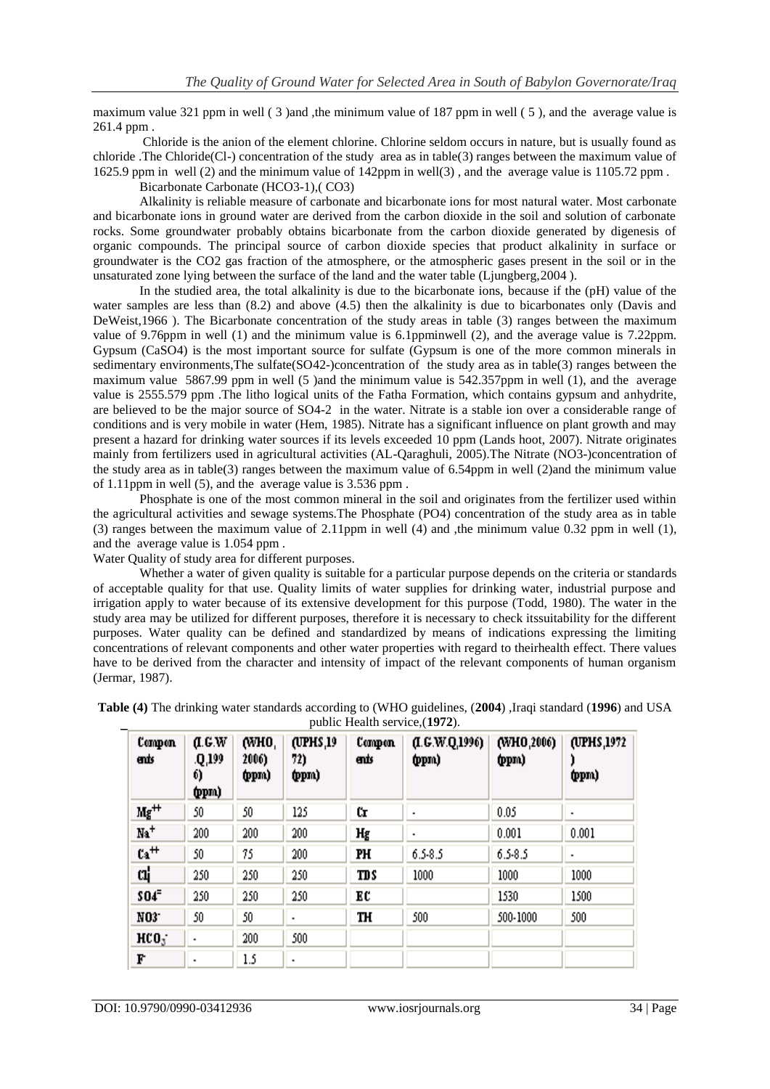maximum value 321 ppm in well ( 3 )and ,the minimum value of 187 ppm in well ( 5 ), and the average value is 261.4 ppm .

Chloride is the anion of the element chlorine. Chlorine seldom occurs in nature, but is usually found as chloride .The Chloride(Cl-) concentration of the study area as in table(3) ranges between the maximum value of 1625.9 ppm in well (2) and the minimum value of 142ppm in well(3) , and the average value is 1105.72 ppm .

Bicarbonate Carbonate (HCO3-1),( CO3)

Alkalinity is reliable measure of carbonate and bicarbonate ions for most natural water. Most carbonate and bicarbonate ions in ground water are derived from the carbon dioxide in the soil and solution of carbonate rocks. Some groundwater probably obtains bicarbonate from the carbon dioxide generated by digenesis of organic compounds. The principal source of carbon dioxide species that product alkalinity in surface or groundwater is the CO2 gas fraction of the atmosphere, or the atmospheric gases present in the soil or in the unsaturated zone lying between the surface of the land and the water table (Ljungberg,2004 ).

In the studied area, the total alkalinity is due to the bicarbonate ions, because if the (pH) value of the water samples are less than (8.2) and above (4.5) then the alkalinity is due to bicarbonates only (Davis and DeWeist,1966). The Bicarbonate concentration of the study areas in table (3) ranges between the maximum value of 9.76ppm in well (1) and the minimum value is 6.1ppminwell (2), and the average value is 7.22ppm. Gypsum (CaSO4) is the most important source for sulfate (Gypsum is one of the more common minerals in sedimentary environments,The sulfate(SO42-)concentration of the study area as in table(3) ranges between the maximum value 5867.99 ppm in well (5 )and the minimum value is 542.357ppm in well (1), and the average value is 2555.579 ppm .The litho logical units of the Fatha Formation, which contains gypsum and anhydrite, are believed to be the major source of SO4-2 in the water. Nitrate is a stable ion over a considerable range of conditions and is very mobile in water (Hem, 1985). Nitrate has a significant influence on plant growth and may present a hazard for drinking water sources if its levels exceeded 10 ppm (Lands hoot, 2007). Nitrate originates mainly from fertilizers used in agricultural activities (AL-Qaraghuli, 2005).The Nitrate (NO3-)concentration of the study area as in table(3) ranges between the maximum value of 6.54ppm in well (2)and the minimum value of 1.11ppm in well (5), and the average value is 3.536 ppm .

Phosphate is one of the most common mineral in the soil and originates from the fertilizer used within the agricultural activities and sewage systems.The Phosphate (PO4) concentration of the study area as in table (3) ranges between the maximum value of 2.11ppm in well (4) and ,the minimum value 0.32 ppm in well (1), and the average value is 1.054 ppm .

Water Quality of study area for different purposes.

Whether a water of given quality is suitable for a particular purpose depends on the criteria or standards of acceptable quality for that use. Quality limits of water supplies for drinking water, industrial purpose and irrigation apply to water because of its extensive development for this purpose (Todd, 1980). The water in the study area may be utilized for different purposes, therefore it is necessary to check itssuitability for the different purposes. Water quality can be defined and standardized by means of indications expressing the limiting concentrations of relevant components and other water properties with regard to theirhealth effect. There values have to be derived from the character and intensity of impact of the relevant components of human organism (Jermar, 1987).

| Campan<br>ends   | 0.6W<br>.Q.199<br>6)<br>(ppm | (WHO,<br>2006)<br>(ppm | (UPHS,19<br>72)<br>(ppm | Campan<br>ends | (L G.W.Q.1996)<br>(ppm) | (WHO,2006)<br>(ppm) | (UPHS, 1972)<br>(ppm |
|------------------|------------------------------|------------------------|-------------------------|----------------|-------------------------|---------------------|----------------------|
| $Mg^{++}$        | 50                           | 50                     | 125                     | ŰT             |                         | 0.05                | ٠                    |
| $Na+$            | 200                          | 200                    | 200                     | Hg             | ٠                       | 0.001               | 0.001                |
| $Ca++$           | 50                           | 75                     | 200                     | PH             | $6.5 - 8.5$             | $6.5 - 8.5$         | ٠                    |
| α¦               | 250                          | 250                    | 250                     | TD S           | 1000                    | 1000                | 1000                 |
| <b>SO4</b>       | 250                          | 250                    | 250                     | EC             |                         | 1530                | 1500                 |
| NO3 <sup>-</sup> | 50                           | 50                     | ٠                       | TH             | 500                     | 500-1000            | 500                  |
| HCO <sub>3</sub> | ٠                            | 200                    | 500                     |                |                         |                     |                      |
| F                | ٠                            | 1.5                    | ٠                       |                |                         |                     |                      |

**Table (4)** The drinking water standards according to (WHO guidelines, (**2004**) ,Iraqi standard (**1996**) and USA public Health service,(**1972**).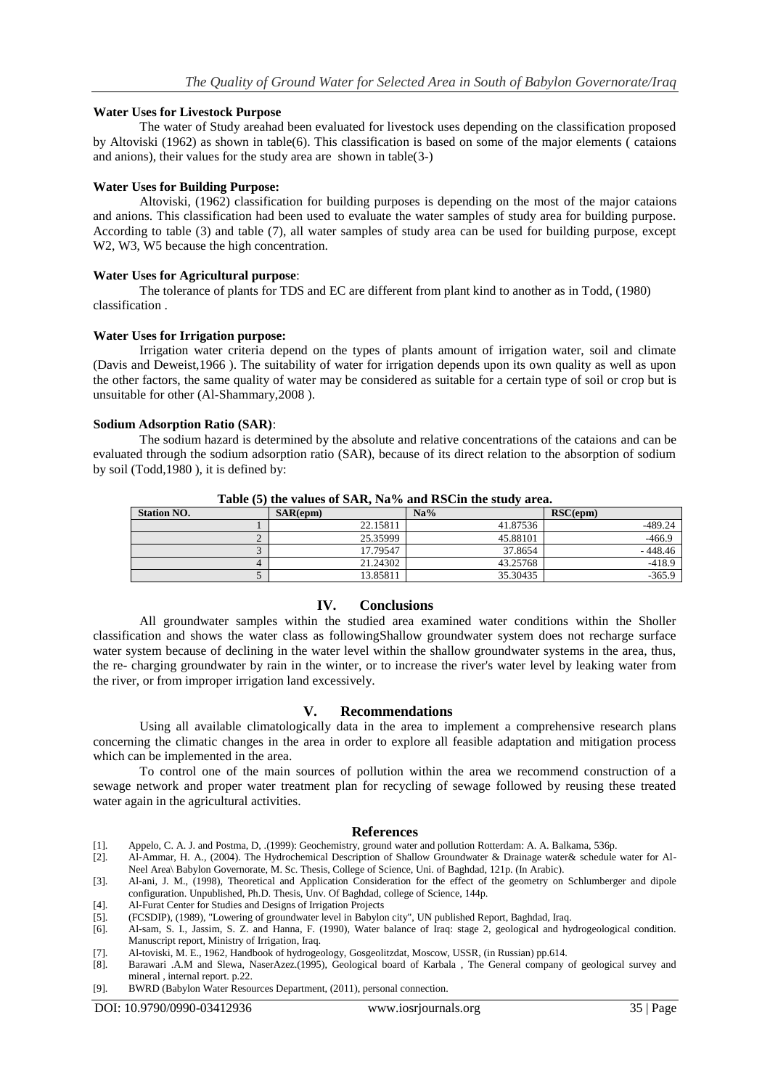## **Water Uses for Livestock Purpose**

The water of Study areahad been evaluated for livestock uses depending on the classification proposed by Altoviski (1962) as shown in table(6). This classification is based on some of the major elements ( cataions and anions), their values for the study area are shown in table(3-)

### **Water Uses for Building Purpose:**

Altoviski, (1962) classification for building purposes is depending on the most of the major cataions and anions. This classification had been used to evaluate the water samples of study area for building purpose. According to table (3) and table (7), all water samples of study area can be used for building purpose, except W2, W3, W5 because the high concentration.

#### **Water Uses for Agricultural purpose**:

The tolerance of plants for TDS and EC are different from plant kind to another as in Todd, (1980) classification .

#### **Water Uses for Irrigation purpose:**

Irrigation water criteria depend on the types of plants amount of irrigation water, soil and climate (Davis and Deweist,1966 ). The suitability of water for irrigation depends upon its own quality as well as upon the other factors, the same quality of water may be considered as suitable for a certain type of soil or crop but is unsuitable for other (Al-Shammary,2008 ).

#### **Sodium Adsorption Ratio (SAR)**:

The sodium hazard is determined by the absolute and relative concentrations of the cataions and can be evaluated through the sodium adsorption ratio (SAR), because of its direct relation to the absorption of sodium by soil (Todd,1980 ), it is defined by:

| <b>Station NO.</b> | $SAR$ (epm) | Na%      | $RSC$ (epm) |
|--------------------|-------------|----------|-------------|
|                    | 22.15811    | 41.87536 | -489.24     |
|                    | 25.35999    | 45.88101 | $-466.9$    |
|                    | 17.79547    | 37.8654  | $-448.46$   |
|                    | 21.24302    | 43.25768 | $-418.9$    |
|                    | 13.85811    | 35.30435 | $-365.9$    |

**Table (5) the values of SAR, Na% and RSCin the study area.**

## **IV. Conclusions**

All groundwater samples within the studied area examined water conditions within the Sholler classification and shows the water class as followingShallow groundwater system does not recharge surface water system because of declining in the water level within the shallow groundwater systems in the area, thus, the re- charging groundwater by rain in the winter, or to increase the river's water level by leaking water from the river, or from improper irrigation land excessively.

## **V. Recommendations**

Using all available climatologically data in the area to implement a comprehensive research plans concerning the climatic changes in the area in order to explore all feasible adaptation and mitigation process which can be implemented in the area.

To control one of the main sources of pollution within the area we recommend construction of a sewage network and proper water treatment plan for recycling of sewage followed by reusing these treated water again in the agricultural activities.

#### **References**

- [1]. Appelo, C. A. J. and Postma, D, .(1999): Geochemistry, ground water and pollution Rotterdam: A. A. Balkama, 536p.
- [2]. Al-Ammar, H. A., (2004). The Hydrochemical Description of Shallow Groundwater & Drainage water& schedule water for Al-Neel Area\ Babylon Governorate, M. Sc. Thesis, College of Science, Uni. of Baghdad, 121p. (In Arabic).
- [3]. Al-ani, J. M., (1998), Theoretical and Application Consideration for the effect of the geometry on Schlumberger and dipole configuration. Unpublished, Ph.D. Thesis, Unv. Of Baghdad, college of Science, 144p.
- [4]. Al-Furat Center for Studies and Designs of Irrigation Projects
- [5]. (FCSDIP), (1989), "Lowering of groundwater level in Babylon city", UN published Report, Baghdad, Iraq.
- [6]. Al-sam, S. I., Jassim, S. Z. and Hanna, F. (1990), Water balance of Iraq: stage 2, geological and hydrogeological condition. Manuscript report, Ministry of Irrigation, Iraq.
- [7]. Al-toviski, M. E., 1962, Handbook of hydrogeology, Gosgeolitzdat, Moscow, USSR, (in Russian) pp.614.
- [8]. Barawari .A.M and Slewa, NaserAzez.(1995), Geological board of Karbala , The General company of geological survey and mineral , internal report. p.22.
- [9]. BWRD (Babylon Water Resources Department, (2011), personal connection.

DOI: 10.9790/0990-03412936 www.iosrjournals.org 35 | Page